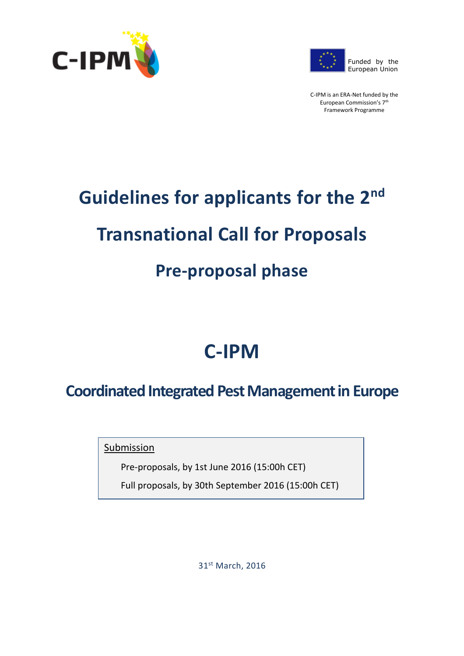



C-IPM is an ERA-Net funded by the European Commission's 7th Framework Programme

# **Guidelines for applicants for the 2nd Transnational Call for Proposals**

# **Pre-proposal phase**

# **C-IPM**

# **Coordinated Integrated Pest Management in Europe**

Submission

Pre-proposals, by 1st June 2016 (15:00h CET)

Full proposals, by 30th September 2016 (15:00h CET)

31st March, 2016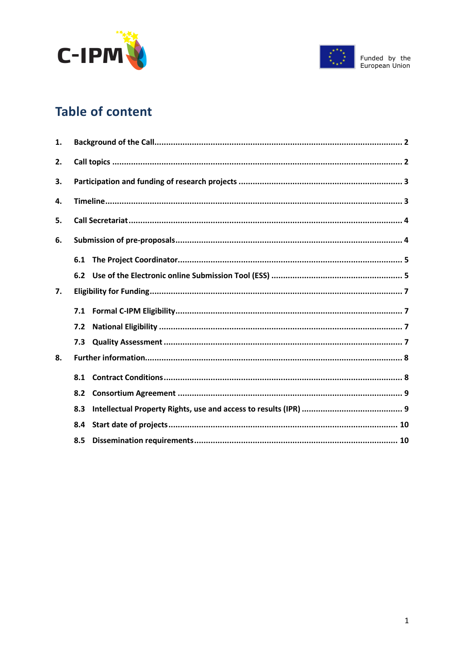



# **Table of content**

| 1. |     |  |  |  |  |  |  |  |  |
|----|-----|--|--|--|--|--|--|--|--|
| 2. |     |  |  |  |  |  |  |  |  |
| З. |     |  |  |  |  |  |  |  |  |
| 4. |     |  |  |  |  |  |  |  |  |
| 5. |     |  |  |  |  |  |  |  |  |
| 6. |     |  |  |  |  |  |  |  |  |
|    |     |  |  |  |  |  |  |  |  |
|    | 6.2 |  |  |  |  |  |  |  |  |
| 7. |     |  |  |  |  |  |  |  |  |
|    |     |  |  |  |  |  |  |  |  |
|    | 7.2 |  |  |  |  |  |  |  |  |
|    | 7.3 |  |  |  |  |  |  |  |  |
| 8. |     |  |  |  |  |  |  |  |  |
|    | 8.1 |  |  |  |  |  |  |  |  |
|    | 8.2 |  |  |  |  |  |  |  |  |
|    | 8.3 |  |  |  |  |  |  |  |  |
|    | 8.4 |  |  |  |  |  |  |  |  |
|    | 8.5 |  |  |  |  |  |  |  |  |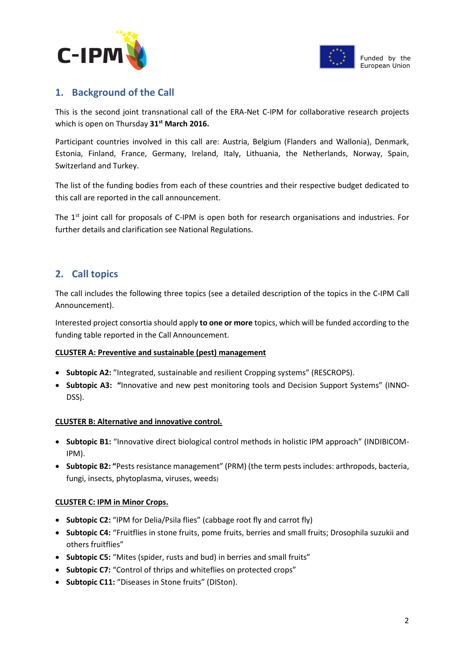



### <span id="page-2-0"></span>**1. Background of the Call**

This is the second joint transnational call of the ERA-Net C-IPM for collaborative research projects which is open on Thursday **31st March 2016.** 

Participant countries involved in this call are: Austria, Belgium (Flanders and Wallonia), Denmark, Estonia, Finland, France, Germany, Ireland, Italy, Lithuania, the Netherlands, Norway, Spain, Switzerland and Turkey.

The list of the funding bodies from each of these countries and their respective budget dedicated to this call are reported in the call announcement.

The 1<sup>st</sup> joint call for proposals of C-IPM is open both for research organisations and industries. For further details and clarification see National Regulations.

### <span id="page-2-1"></span>**2. Call topics**

The call includes the following three topics (see a detailed description of the topics in the C-IPM Call Announcement).

Interested project consortia should apply **to one or more** topics, which will be funded according to the funding table reported in the Call Announcement.

#### **CLUSTER A: Preventive and sustainable (pest) management**

- **Subtopic A2:** "Integrated, sustainable and resilient Cropping systems" (RESCROPS).
- **Subtopic A3: "**Innovative and new pest monitoring tools and Decision Support Systems" (INNO-DSS).

#### **CLUSTER B: Alternative and innovative control.**

- **Subtopic B1:** "Innovative direct biological control methods in holistic IPM approach" (INDIBICOM-IPM).
- **Subtopic B2: "**Pests resistance management" (PRM) (the term pests includes: arthropods, bacteria, fungi, insects, phytoplasma, viruses, weeds)

#### **CLUSTER C: IPM in Minor Crops.**

- **Subtopic C2:** "IPM for Delia/Psila flies" (cabbage root fly and carrot fly)
- **Subtopic C4:** "Fruitflies in stone fruits, pome fruits, berries and small fruits; Drosophila suzukii and others fruitflies"
- **Subtopic C5:** "Mites (spider, rusts and bud) in berries and small fruits"
- **Subtopic C7:** "Control of thrips and whiteflies on protected crops"
- **Subtopic C11:** "Diseases in Stone fruits" (DISton).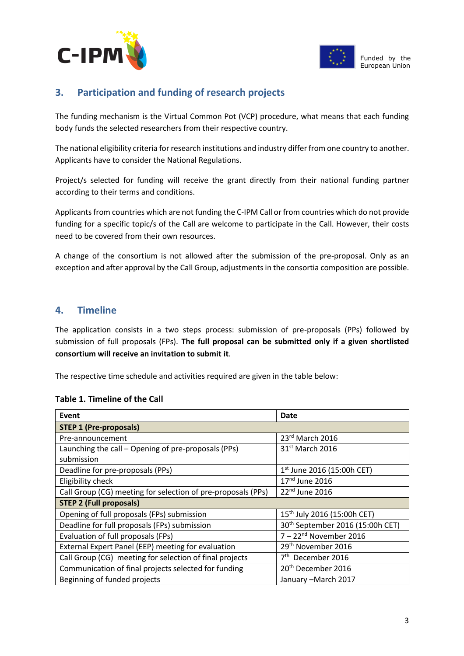



### <span id="page-3-0"></span>**3. Participation and funding of research projects**

The funding mechanism is the Virtual Common Pot (VCP) procedure, what means that each funding body funds the selected researchers from their respective country.

The national eligibility criteria for research institutions and industry differ from one country to another. Applicants have to consider the National Regulations.

Project/s selected for funding will receive the grant directly from their national funding partner according to their terms and conditions.

Applicants from countries which are not funding the C-IPM Call or from countries which do not provide funding for a specific topic/s of the Call are welcome to participate in the Call. However, their costs need to be covered from their own resources.

A change of the consortium is not allowed after the submission of the pre-proposal. Only as an exception and after approval by the Call Group, adjustments in the consortia composition are possible.

#### <span id="page-3-1"></span>**4. Timeline**

The application consists in a two steps process: submission of pre-proposals (PPs) followed by submission of full proposals (FPs). **The full proposal can be submitted only if a given shortlisted consortium will receive an invitation to submit it**.

The respective time schedule and activities required are given in the table below:

#### **Table 1. Timeline of the Call**

| Event                                                        | Date                                         |  |  |  |  |  |  |  |
|--------------------------------------------------------------|----------------------------------------------|--|--|--|--|--|--|--|
| <b>STEP 1 (Pre-proposals)</b>                                |                                              |  |  |  |  |  |  |  |
| Pre-announcement                                             | 23rd March 2016                              |  |  |  |  |  |  |  |
| Launching the call - Opening of pre-proposals (PPs)          | $31st$ March 2016                            |  |  |  |  |  |  |  |
| submission                                                   |                                              |  |  |  |  |  |  |  |
| Deadline for pre-proposals (PPs)                             | $1st$ June 2016 (15:00h CET)                 |  |  |  |  |  |  |  |
| Eligibility check                                            | 17 <sup>nd</sup> June 2016                   |  |  |  |  |  |  |  |
| Call Group (CG) meeting for selection of pre-proposals (PPs) | $22nd$ June 2016                             |  |  |  |  |  |  |  |
| <b>STEP 2 (Full proposals)</b>                               |                                              |  |  |  |  |  |  |  |
| Opening of full proposals (FPs) submission                   | 15 <sup>th</sup> July 2016 (15:00h CET)      |  |  |  |  |  |  |  |
| Deadline for full proposals (FPs) submission                 | 30 <sup>th</sup> September 2016 (15:00h CET) |  |  |  |  |  |  |  |
| Evaluation of full proposals (FPs)                           | $7 - 22nd$ November 2016                     |  |  |  |  |  |  |  |
| External Expert Panel (EEP) meeting for evaluation           | 29 <sup>th</sup> November 2016               |  |  |  |  |  |  |  |
| Call Group (CG) meeting for selection of final projects      | 7 <sup>th</sup> December 2016                |  |  |  |  |  |  |  |
| Communication of final projects selected for funding         | 20 <sup>th</sup> December 2016               |  |  |  |  |  |  |  |
| Beginning of funded projects                                 | January - March 2017                         |  |  |  |  |  |  |  |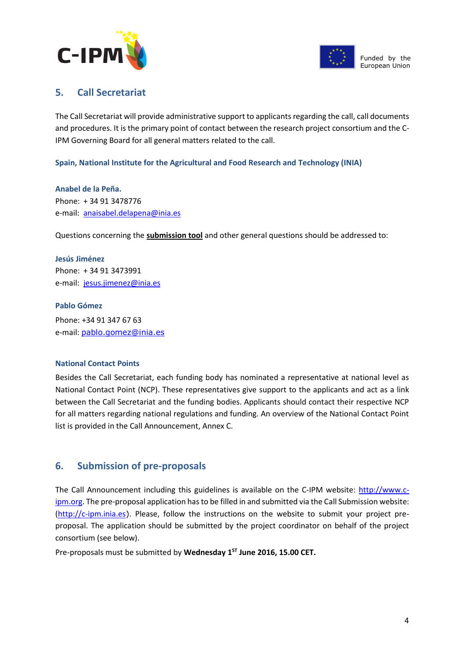



#### <span id="page-4-0"></span>**5. Call Secretariat**

The Call Secretariat will provide administrative support to applicants regarding the call, call documents and procedures. It is the primary point of contact between the research project consortium and the C-IPM Governing Board for all general matters related to the call.

**Spain, National Institute for the Agricultural and Food Research and Technology (INIA)**

**Anabel de la Peña.** Phone: + 34 91 3478776 e-mail: [anaisabel.delapena@inia.es](mailto:anaisabel.delapena@inia.es)

Questions concerning the **submission tool** and other general questions should be addressed to:

**Jesús Jiménez** Phone: + 34 91 3473991 e-mail: [jesus.jimenez@inia.es](mailto:jesus.jimenez@inia.es)

#### **Pablo Gómez**

Phone: +34 91 347 67 63 e-mail: [pablo.gomez@inia.es](mailto:pablo.gomez@inia.es)

#### **National Contact Points**

Besides the Call Secretariat, each funding body has nominated a representative at national level as National Contact Point (NCP). These representatives give support to the applicants and act as a link between the Call Secretariat and the funding bodies. Applicants should contact their respective NCP for all matters regarding national regulations and funding. An overview of the National Contact Point list is provided in the Call Announcement, Annex C.

#### <span id="page-4-1"></span>**6. Submission of pre-proposals**

The Call Announcement including this guidelines is available on the C-IPM website: [http://www.c](http://www.c-ipm.org/)[ipm.org.](http://www.c-ipm.org/) The pre-proposal application has to be filled in and submitted via the Call Submission website: [\(http://c-ipm.inia.es](http://c-ipm.inia.es/)). Please, follow the instructions on the website to submit your project preproposal. The application should be submitted by the project coordinator on behalf of the project consortium (see below).

Pre-proposals must be submitted by **Wednesday 1 ST June 2016, 15.00 CET.**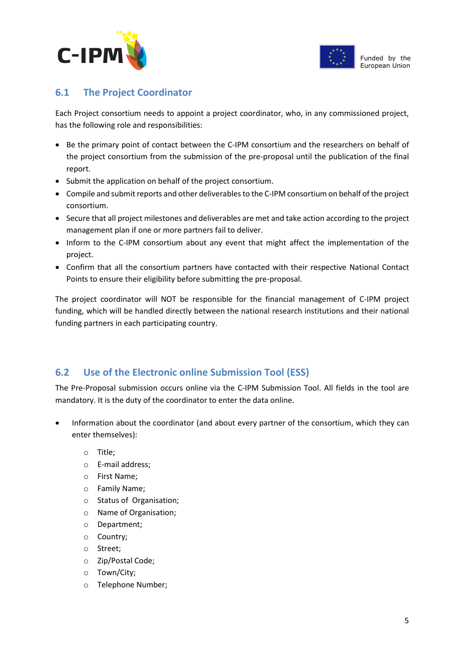



# <span id="page-5-0"></span>**6.1 The Project Coordinator**

Each Project consortium needs to appoint a project coordinator, who, in any commissioned project, has the following role and responsibilities:

- Be the primary point of contact between the C-IPM consortium and the researchers on behalf of the project consortium from the submission of the pre-proposal until the publication of the final report.
- Submit the application on behalf of the project consortium.
- Compile and submit reports and other deliverables to the C-IPM consortium on behalf of the project consortium.
- Secure that all project milestones and deliverables are met and take action according to the project management plan if one or more partners fail to deliver.
- Inform to the C-IPM consortium about any event that might affect the implementation of the project.
- Confirm that all the consortium partners have contacted with their respective National Contact Points to ensure their eligibility before submitting the pre-proposal.

The project coordinator will NOT be responsible for the financial management of C-IPM project funding, which will be handled directly between the national research institutions and their national funding partners in each participating country.

# <span id="page-5-1"></span>**6.2 Use of the Electronic online Submission Tool (ESS)**

The Pre-Proposal submission occurs online via the C-IPM Submission Tool. All fields in the tool are mandatory. It is the duty of the coordinator to enter the data online.

- Information about the coordinator (and about every partner of the consortium, which they can enter themselves):
	- o Title;
	- o E-mail address;
	- o First Name;
	- o Family Name;
	- o Status of Organisation;
	- o Name of Organisation;
	- o Department;
	- o Country;
	- o Street;
	- o Zip/Postal Code;
	- o Town/City;
	- o Telephone Number;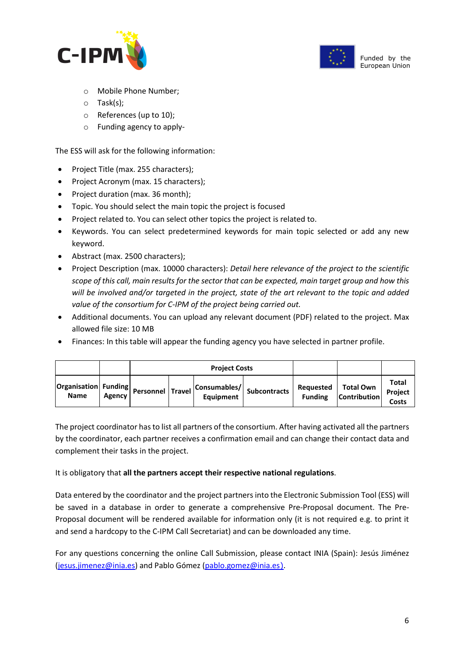



- o Mobile Phone Number;
- o Task(s);
- o References (up to 10);
- o Funding agency to apply-

The ESS will ask for the following information:

- Project Title (max. 255 characters);
- Project Acronym (max. 15 characters);
- Project duration (max. 36 month);
- Topic. You should select the main topic the project is focused
- Project related to. You can select other topics the project is related to.
- Keywords. You can select predetermined keywords for main topic selected or add any new keyword.
- Abstract (max. 2500 characters);
- Project Description (max. 10000 characters): *Detail here relevance of the project to the scientific scope of this call, main results for the sector that can be expected, main target group and how this will be involved and/or targeted in the project, state of the art relevant to the topic and added value of the consortium for C-IPM of the project being carried out.*
- Additional documents. You can upload any relevant document (PDF) related to the project. Max allowed file size: 10 MB
- Finances: In this table will appear the funding agency you have selected in partner profile.

|                                         |        |                  | <b>Project Costs</b>                         |  |                             |                                  |                                  |
|-----------------------------------------|--------|------------------|----------------------------------------------|--|-----------------------------|----------------------------------|----------------------------------|
| Organisation   Funding  <br><b>Name</b> | Agency | Personnel Travel | Consumables/ Subcontracts   ne-<br>Equipment |  | Requested<br><b>Funding</b> | Total Own<br><b>Contribution</b> | Total<br><b>Project</b><br>Costs |

The project coordinator has to list all partners of the consortium. After having activated all the partners by the coordinator, each partner receives a confirmation email and can change their contact data and complement their tasks in the project.

It is obligatory that **all the partners accept their respective national regulations**.

Data entered by the coordinator and the project partners into the Electronic Submission Tool (ESS) will be saved in a database in order to generate a comprehensive Pre-Proposal document. The Pre-Proposal document will be rendered available for information only (it is not required e.g. to print it and send a hardcopy to the C-IPM Call Secretariat) and can be downloaded any time.

For any questions concerning the online Call Submission, please contact INIA (Spain): Jesús Jiménez [\(jesus.jimenez@inia.es\)](mailto:jesus.jimenez@inia.es) and Pablo Gómez [\(pablo.gomez@inia.es](mailto:pablo.gomez@inia.es)).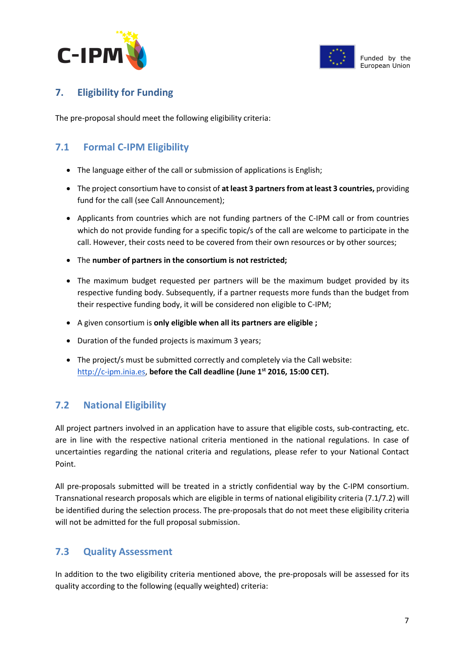



# <span id="page-7-0"></span>**7. Eligibility for Funding**

The pre-proposal should meet the following eligibility criteria:

# <span id="page-7-1"></span>**7.1 Formal C-IPM Eligibility**

- The language either of the call or submission of applications is English;
- The project consortium have to consist of **at least 3 partners from at least 3 countries,** providing fund for the call (see Call Announcement);
- Applicants from countries which are not funding partners of the C-IPM call or from countries which do not provide funding for a specific topic/s of the call are welcome to participate in the call. However, their costs need to be covered from their own resources or by other sources;
- The **number of partners in the consortium is not restricted;**
- The maximum budget requested per partners will be the maximum budget provided by its respective funding body. Subsequently, if a partner requests more funds than the budget from their respective funding body, it will be considered non eligible to C-IPM;
- A given consortium is **only eligible when all its partners are eligible ;**
- Duration of the funded projects is maximum 3 years;
- The project/s must be submitted correctly and completely via the Call website: [http://c-ipm.inia.es,](http://c-ipm.inia.es/) **before the Call deadline (June 1st 2016, 15:00 CET).**

# <span id="page-7-2"></span>**7.2 National Eligibility**

All project partners involved in an application have to assure that eligible costs, sub-contracting, etc. are in line with the respective national criteria mentioned in the national regulations. In case of uncertainties regarding the national criteria and regulations, please refer to your National Contact Point.

All pre-proposals submitted will be treated in a strictly confidential way by the C-IPM consortium. Transnational research proposals which are eligible in terms of national eligibility criteria (7.1/7.2) will be identified during the selection process. The pre-proposals that do not meet these eligibility criteria will not be admitted for the full proposal submission.

# <span id="page-7-3"></span>**7.3 Quality Assessment**

In addition to the two eligibility criteria mentioned above, the pre-proposals will be assessed for its quality according to the following (equally weighted) criteria: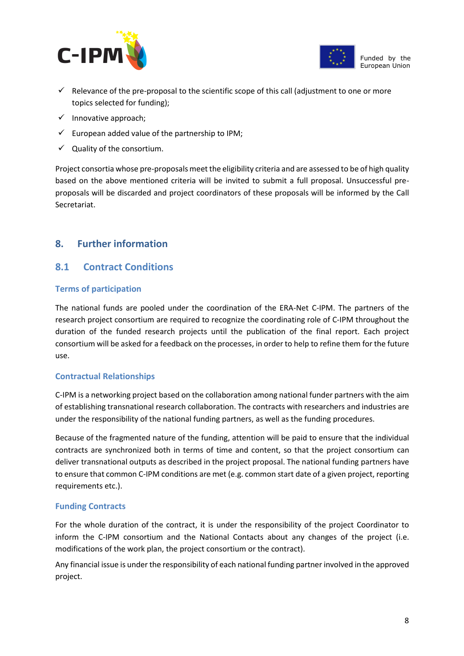



- $\checkmark$  Relevance of the pre-proposal to the scientific scope of this call (adjustment to one or more topics selected for funding);
- $\checkmark$  Innovative approach;
- $\checkmark$  European added value of the partnership to IPM;
- $\checkmark$  Quality of the consortium.

Project consortia whose pre-proposals meet the eligibility criteria and are assessed to be of high quality based on the above mentioned criteria will be invited to submit a full proposal. Unsuccessful preproposals will be discarded and project coordinators of these proposals will be informed by the Call Secretariat.

### <span id="page-8-0"></span>**8. Further information**

#### <span id="page-8-1"></span>**8.1 Contract Conditions**

#### **Terms of participation**

The national funds are pooled under the coordination of the ERA-Net C-IPM. The partners of the research project consortium are required to recognize the coordinating role of C-IPM throughout the duration of the funded research projects until the publication of the final report. Each project consortium will be asked for a feedback on the processes, in order to help to refine them for the future use.

#### **Contractual Relationships**

C-IPM is a networking project based on the collaboration among national funder partners with the aim of establishing transnational research collaboration. The contracts with researchers and industries are under the responsibility of the national funding partners, as well as the funding procedures.

Because of the fragmented nature of the funding, attention will be paid to ensure that the individual contracts are synchronized both in terms of time and content, so that the project consortium can deliver transnational outputs as described in the project proposal. The national funding partners have to ensure that common C-IPM conditions are met (e.g. common start date of a given project, reporting requirements etc.).

#### **Funding Contracts**

For the whole duration of the contract, it is under the responsibility of the project Coordinator to inform the C-IPM consortium and the National Contacts about any changes of the project (i.e. modifications of the work plan, the project consortium or the contract).

Any financial issue is under the responsibility of each national funding partner involved in the approved project.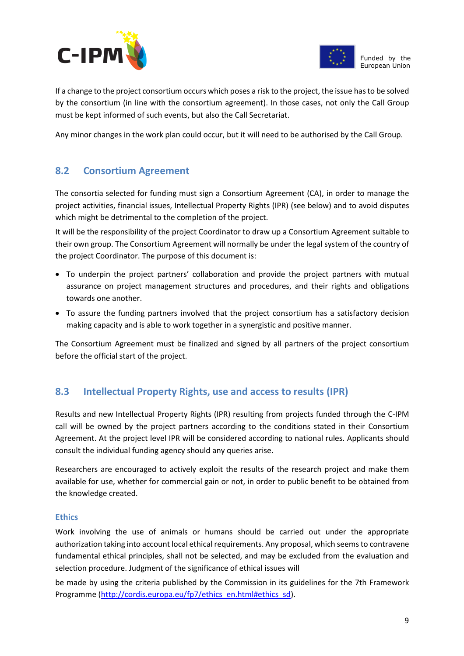



If a change to the project consortium occurs which poses a risk to the project, the issue has to be solved by the consortium (in line with the consortium agreement). In those cases, not only the Call Group must be kept informed of such events, but also the Call Secretariat.

Any minor changes in the work plan could occur, but it will need to be authorised by the Call Group.

# <span id="page-9-0"></span>**8.2 Consortium Agreement**

The consortia selected for funding must sign a Consortium Agreement (CA), in order to manage the project activities, financial issues, Intellectual Property Rights (IPR) (see below) and to avoid disputes which might be detrimental to the completion of the project.

It will be the responsibility of the project Coordinator to draw up a Consortium Agreement suitable to their own group. The Consortium Agreement will normally be under the legal system of the country of the project Coordinator. The purpose of this document is:

- To underpin the project partners' collaboration and provide the project partners with mutual assurance on project management structures and procedures, and their rights and obligations towards one another.
- To assure the funding partners involved that the project consortium has a satisfactory decision making capacity and is able to work together in a synergistic and positive manner.

The Consortium Agreement must be finalized and signed by all partners of the project consortium before the official start of the project.

# <span id="page-9-1"></span>**8.3 Intellectual Property Rights, use and access to results (IPR)**

Results and new Intellectual Property Rights (IPR) resulting from projects funded through the C-IPM call will be owned by the project partners according to the conditions stated in their Consortium Agreement. At the project level IPR will be considered according to national rules. Applicants should consult the individual funding agency should any queries arise.

Researchers are encouraged to actively exploit the results of the research project and make them available for use, whether for commercial gain or not, in order to public benefit to be obtained from the knowledge created.

#### **Ethics**

Work involving the use of animals or humans should be carried out under the appropriate authorization taking into account local ethical requirements. Any proposal, which seems to contravene fundamental ethical principles, shall not be selected, and may be excluded from the evaluation and selection procedure. Judgment of the significance of ethical issues will

be made by using the criteria published by the Commission in its guidelines for the 7th Framework Programme [\(http://cordis.europa.eu/fp7/ethics\\_en.html#ethics\\_sd\)](http://cordis.europa.eu/fp7/ethics_en.html#ethics_sd).